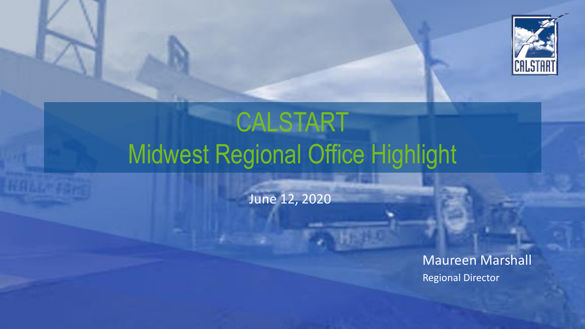

# CALSTART Midwest Regional Office Highlight

June 12, 2020

Maureen Marshall Regional Director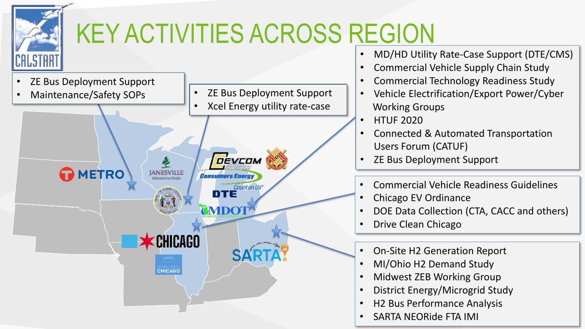

- MD/HD Utility Rate-Case Support (DTE/CMS)
- Commercial Vehicle Supply Chain Study
- Commercial Technology Readiness Study
- Vehicle Electrification/Export Power/Cyber Working Groups
- Connected & Automated Transportation Users Forum (CATUF)
- ZE Bus Deployment Support
- Commercial Vehicle Readiness Guidelines
- Chicago EV Ordinance
- DOE Data Collection (CTA, CACC and others)
- Drive Clean Chicago
- On-Site H2 Generation Report
- MI/Ohio H2 Demand Study
- Midwest ZEB Working Group
- District Energy/Microgrid Study
- H2 Bus Performance Analysis
- SARTA NEORide FTA IMI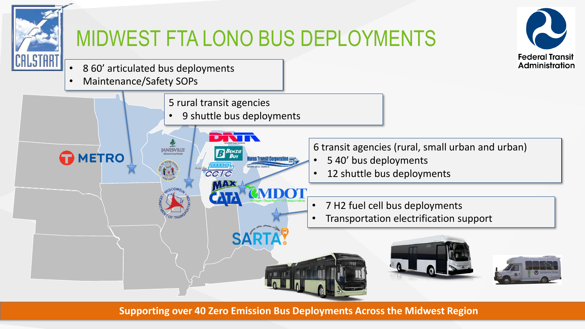

### MIDWEST FTA LONO BUS DEPLOYMENTS



- 8 60' articulated bus deployments
- Maintenance/Safety SOPs



**Supporting over 40 Zero Emission Bus Deployments Across the Midwest Region**